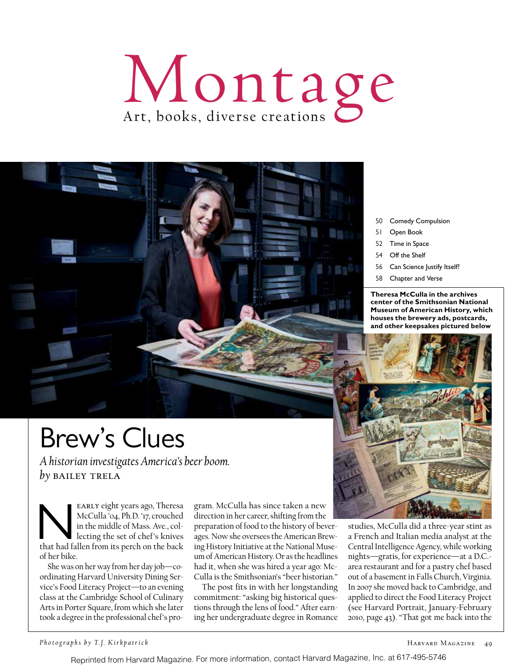## Montage



- 50 Comedy Compulsion
- 51 Open Book
- 52 Time in Space
- 54 Off the Shelf
- 56 Can Science Justify Itself?
- 58 Chapter and Verse

**Theresa McCulla in the archives center of the Smithsonian National Museum of American History, which houses the brewery ads, postcards, and other keepsakes pictured below**



studies, McCulla did a three-year stint as a French and Italian media analyst at the Central Intelligence Agency, while working nights—gratis, for experience—at a D.C. area restaurant and for a pastry chef based out of a basement in Falls Church, Virginia. In 2007 she moved back to Cambridge, and applied to direct the Food Literacy Project (see Harvard Portrait, January-February 2010, page 43). "That got me back into the

## Brew's Clues

*A historian investigates America's beer boom. by* bailey trela

EARLY eight years ago, Theresa McCulla '04, Ph.D. '17, crouched in the middle of Mass. Ave., collecting the set of chef's knives that had fallen from its perch on the back McCulla '04, Ph.D. '17, crouched in the middle of Mass. Ave., collecting the set of chef's knives of her bike.

She was on her way from her day job—coordinating Harvard University Dining Service's Food Literacy Project—to an evening class at the Cambridge School of Culinary Arts in Porter Square, from which she later took a degree in the professional chef's program. McCulla has since taken a new direction in her career, shifting from the

preparation of food to the history of beverages. Now she oversees the American Brewing History Initiative at the National Museum of American History. Or as the headlines had it, when she was hired a year ago: Mc-Culla is the Smithsonian's "beer historian."

The post fits in with her longstanding commitment: "asking big historical questions through the lens of food." After earning her undergraduate degree in Romance

Reprinted from Harvard Magazine. For more information, contact Harvard Magazine, Inc. at 617-495-5746